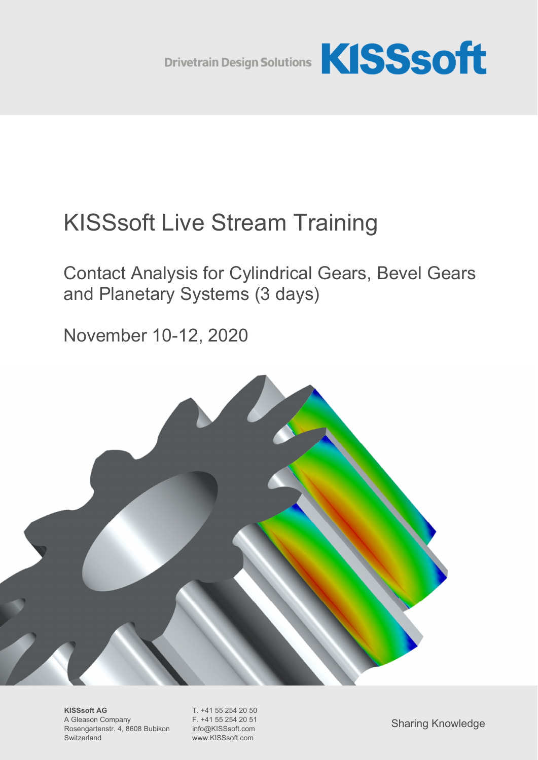

# KISSsoft Live Stream Training

Contact Analysis for Cylindrical Gears, Bevel Gears and Planetary Systems (3 days)

November 10-12, 2020



**KISSsoft AG** T. +41 55 254 20 50<br>A Gleason Company F. +41 55 254 20 51 A Gleason Company Rosengartenstr. 4, 8608 Bubikon info@KISSsoft.com Switzerland www.KISSsoft.com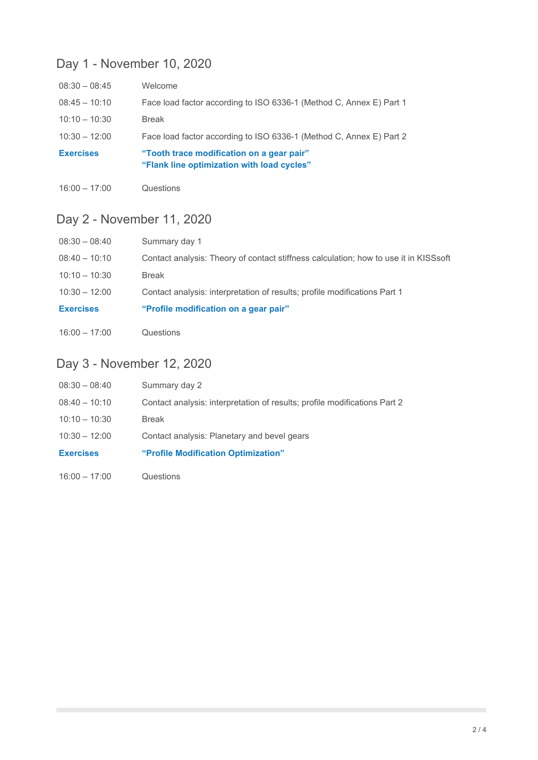## Day 1 - November 10, 2020

| $08:30 - 08:45$  | Welcome                                                                                 |
|------------------|-----------------------------------------------------------------------------------------|
| $08:45 - 10:10$  | Face load factor according to ISO 6336-1 (Method C, Annex E) Part 1                     |
| $10:10 - 10:30$  | <b>Break</b>                                                                            |
| $10:30 - 12:00$  | Face load factor according to ISO 6336-1 (Method C, Annex E) Part 2                     |
| <b>Exercises</b> | "Tooth trace modification on a gear pair"<br>"Flank line optimization with load cycles" |

16:00 – 17:00 Questions

## Day 2 - November 11, 2020

| $08:30 - 08:40$  | Summary day 1                                                                        |
|------------------|--------------------------------------------------------------------------------------|
| $08:40 - 10:10$  | Contact analysis: Theory of contact stiffness calculation; how to use it in KISSsoft |
| $10:10 - 10:30$  | Break                                                                                |
| $10:30 - 12:00$  | Contact analysis: interpretation of results; profile modifications Part 1            |
| <b>Exercises</b> | "Profile modification on a gear pair"                                                |
| $16:00 - 17:00$  | Questions                                                                            |

## Day 3 - November 12, 2020

| $08:30 - 08:40$  | Summary day 2                                                             |
|------------------|---------------------------------------------------------------------------|
| $08:40 - 10:10$  | Contact analysis: interpretation of results; profile modifications Part 2 |
| $10:10 - 10:30$  | Break                                                                     |
| $10:30 - 12:00$  | Contact analysis: Planetary and bevel gears                               |
| <b>Exercises</b> | "Profile Modification Optimization"                                       |
| $16:00 - 17:00$  | Questions                                                                 |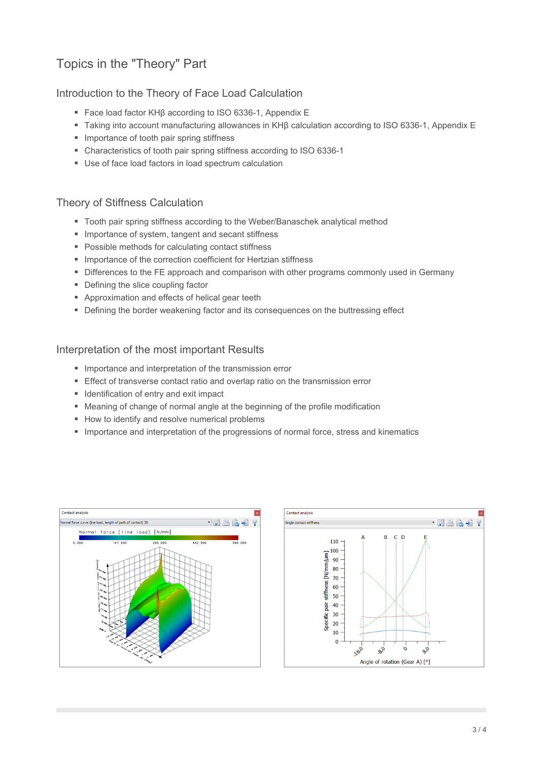## Topics in the "Theory" Part

#### Introduction to the Theory of Face Load Calculation

- Face load factor KHβ according to ISO 6336-1, Appendix E
- Taking into account manufacturing allowances in KHβ calculation according to ISO 6336-1, Appendix E
- **Importance of tooth pair spring stiffness**
- Characteristics of tooth pair spring stiffness according to ISO 6336-1
- Use of face load factors in load spectrum calculation

#### Theory of Stiffness Calculation

- Tooth pair spring stiffness according to the Weber/Banaschek analytical method
- **Importance of system, tangent and secant stiffness**
- **Possible methods for calculating contact stiffness**
- **Importance of the correction coefficient for Hertzian stiffness**
- **Differences to the FE approach and comparison with other programs commonly used in Germany**
- Defining the slice coupling factor
- **Approximation and effects of helical gear teeth**
- **•** Defining the border weakening factor and its consequences on the buttressing effect

#### Interpretation of the most important Results

- **Importance and interpretation of the transmission error**
- **Effect of transverse contact ratio and overlap ratio on the transmission error**
- **IDENTIFICATE:** Identification of entry and exit impact
- Meaning of change of normal angle at the beginning of the profile modification
- How to identify and resolve numerical problems
- **Importance and interpretation of the progressions of normal force, stress and kinematics**